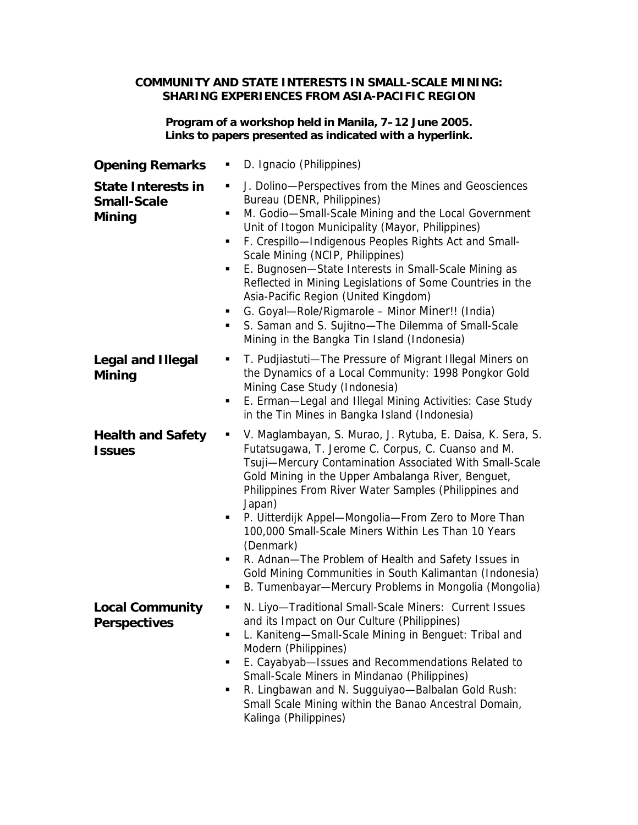## **COMMUNITY AND STATE INTERESTS IN SMALL-SCALE MINING: SHARING EXPERIENCES FROM ASIA-PACIFIC REGION**

## **Program of a workshop held in Manila, 7–12 June 2005. Links to papers presented as indicated with a hyperlink.**

| <b>Opening Remarks</b>                                           | D. Ignacio (Philippines)<br>٠                                                                                                                                                                                                                                                                                                                                                                                                                                                                                                                                                                                                                   |
|------------------------------------------------------------------|-------------------------------------------------------------------------------------------------------------------------------------------------------------------------------------------------------------------------------------------------------------------------------------------------------------------------------------------------------------------------------------------------------------------------------------------------------------------------------------------------------------------------------------------------------------------------------------------------------------------------------------------------|
| <b>State Interests in</b><br><b>Small-Scale</b><br><b>Mining</b> | J. Dolino-Perspectives from the Mines and Geosciences<br>٠<br>Bureau (DENR, Philippines)<br>M. Godio-Small-Scale Mining and the Local Government<br>٠<br>Unit of Itogon Municipality (Mayor, Philippines)<br>F. Crespillo-Indigenous Peoples Rights Act and Small-<br>٠<br>Scale Mining (NCIP, Philippines)<br>E. Bugnosen-State Interests in Small-Scale Mining as<br>٠<br>Reflected in Mining Legislations of Some Countries in the<br>Asia-Pacific Region (United Kingdom)<br>G. Goyal-Role/Rigmarole - Minor Miner!! (India)<br>٠<br>S. Saman and S. Sujitno-The Dilemma of Small-Scale<br>٠<br>Mining in the Bangka Tin Island (Indonesia) |
| <b>Legal and Illegal</b><br><b>Mining</b>                        | T. Pudjiastuti-The Pressure of Migrant Illegal Miners on<br>٠<br>the Dynamics of a Local Community: 1998 Pongkor Gold<br>Mining Case Study (Indonesia)<br>E. Erman-Legal and Illegal Mining Activities: Case Study<br>٠<br>in the Tin Mines in Bangka Island (Indonesia)                                                                                                                                                                                                                                                                                                                                                                        |
| <b>Health and Safety</b><br><b>Issues</b>                        | V. Maglambayan, S. Murao, J. Rytuba, E. Daisa, K. Sera, S.<br>٠<br>Futatsugawa, T. Jerome C. Corpus, C. Cuanso and M.<br>Tsuji-Mercury Contamination Associated With Small-Scale<br>Gold Mining in the Upper Ambalanga River, Benguet,<br>Philippines From River Water Samples (Philippines and<br>Japan)<br>P. Uitterdijk Appel-Mongolia-From Zero to More Than<br>٠<br>100,000 Small-Scale Miners Within Les Than 10 Years<br>(Denmark)<br>R. Adnan-The Problem of Health and Safety Issues in<br>٠<br>Gold Mining Communities in South Kalimantan (Indonesia)<br>B. Tumenbayar—Mercury Problems in Mongolia (Mongolia)<br>п                  |
| <b>Local Community</b><br><b>Perspectives</b>                    | N. Liyo-Traditional Small-Scale Miners: Current Issues<br>ш<br>and its Impact on Our Culture (Philippines)<br>L. Kaniteng-Small-Scale Mining in Benguet: Tribal and<br>٠<br>Modern (Philippines)<br>E. Cayabyab-Issues and Recommendations Related to<br>٠<br>Small-Scale Miners in Mindanao (Philippines)<br>R. Lingbawan and N. Sugguiyao-Balbalan Gold Rush:<br>٠<br>Small Scale Mining within the Banao Ancestral Domain,<br>Kalinga (Philippines)                                                                                                                                                                                          |